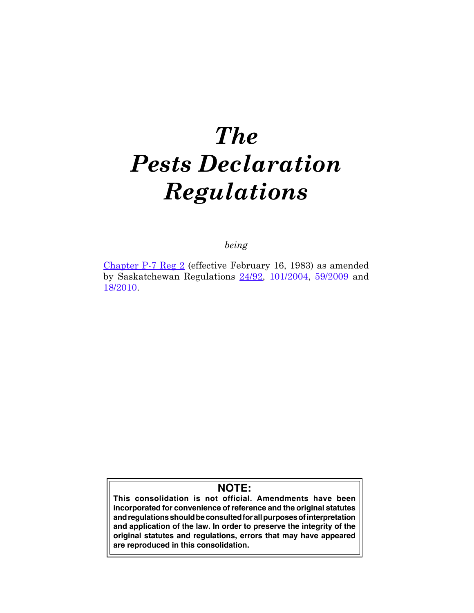# *The Pests Declaration Regulations*

# *being*

[Chapter P-7 Reg 2](https://publications.saskatchewan.ca:443/api/v1/products/105193/formats/117348/download) (effective February 16, 1983) as amended by Saskatchewan Regulations [24/92](https://publications.saskatchewan.ca:443/api/v1/products/86961/formats/101167/download), [101/2004](https://publications.saskatchewan.ca:443/api/v1/products/9470/formats/14336/download), [59/2009](https://publications.saskatchewan.ca:443/api/v1/products/28315/formats/35423/download) and [18/2010.](https://publications.saskatchewan.ca:443/api/v1/products/29669/formats/36612/download)

# **NOTE:**

**This consolidation is not official. Amendments have been incorporated for convenience of reference and the original statutes and regulations should be consulted for all purposes of interpretation and application of the law. In order to preserve the integrity of the original statutes and regulations, errors that may have appeared are reproduced in this consolidation.**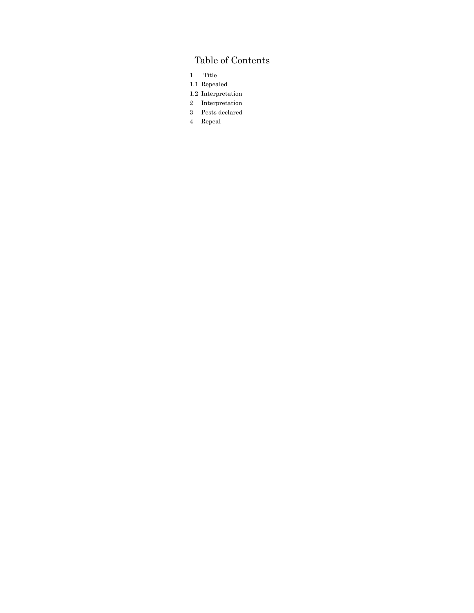# Table of Contents

- 1 Title
- 1.1 Repealed
- 1.2 Interpretation
- 2 Interpretation 3 Pests declared
- 4 Repeal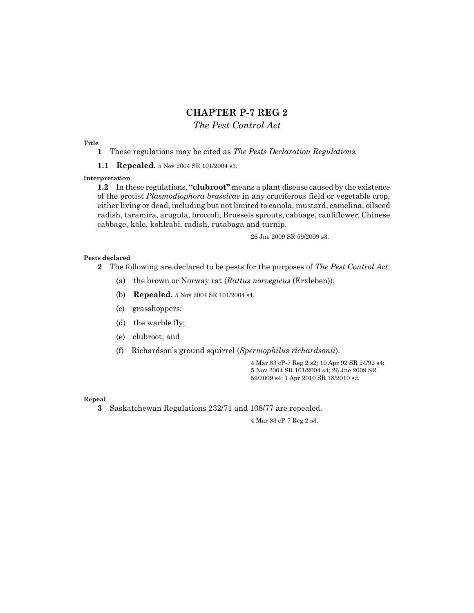# **CHAPTER P-7 REG 2**

## *The Pest Control Act*

#### **Title**

- **1** These regulations may be cited as *The Pests Declaration Regulations.*
- **1.1 Repealed.** 5 Nov 2004 SR 101/2004 s3.

### **Interpretation**

**1.2** In these regulations, **"clubroot"** means a plant disease caused by the existence of the protist *Plasmodiophora brassicae* in any cruciferous field or vegetable crop, either living or dead, including but not limited to canola, mustard, camelina, oilseed radish, taramira, arugula, broccoli, Brussels sprouts, cabbage, cauliflower, Chinese cabbage, kale, kohlrabi, radish, rutabaga and turnip.

26 Jne 2009 SR 59/2009 s3.

#### **Pests declared**

- **2** The following are declared to be pests for the purposes of *The Pest Control Act*:
	- (a) the brown or Norway rat (*Rattus norvegicus* (Erxleben));
	- (b) **Repealed.** 5 Nov 2004 SR 101/2004 s4.
	- (c) grasshoppers;
	- (d) the warble fly;
	- (e) clubroot; and
	- (f) Richardson's ground squirrel (*Spermophilus richardsonii*).

4 Mar 83 cP-7 Reg 2 s2; 10 Apr 92 SR 24/92 s4; 5 Nov 2004 SR 101/2004 s4; 26 Jne 2009 SR 59/2009 s4; 1 Apr 2010 SR 18/2010 s2.

#### **Repeal**

**3** Saskatchewan Regulations 232/71 and 108/77 are repealed.

4 Mar 83 cP-7 Reg 2 s3.